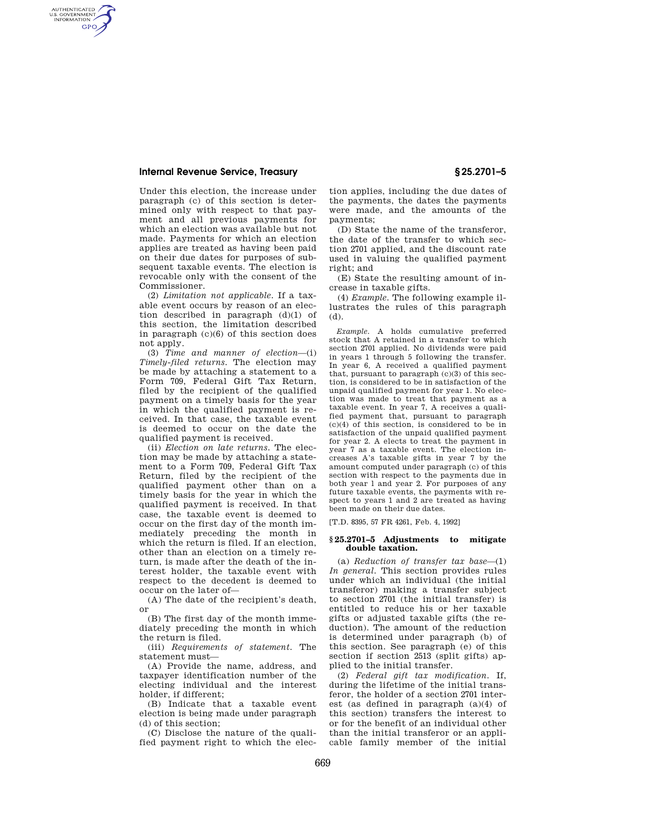AUTHENTICATED<br>U.S. GOVERNMENT<br>INFORMATION **GPO** 

> Under this election, the increase under paragraph (c) of this section is determined only with respect to that payment and all previous payments for which an election was available but not made. Payments for which an election applies are treated as having been paid on their due dates for purposes of subsequent taxable events. The election is revocable only with the consent of the Commissioner.

> (2) *Limitation not applicable.* If a taxable event occurs by reason of an election described in paragraph (d)(1) of this section, the limitation described in paragraph (c)(6) of this section does not apply.

> (3) *Time and manner of election*—(i) *Timely-filed returns.* The election may be made by attaching a statement to a Form 709, Federal Gift Tax Return, filed by the recipient of the qualified payment on a timely basis for the year in which the qualified payment is received. In that case, the taxable event is deemed to occur on the date the qualified payment is received.

> (ii) *Election on late returns.* The election may be made by attaching a statement to a Form 709, Federal Gift Tax Return, filed by the recipient of the qualified payment other than on a timely basis for the year in which the qualified payment is received. In that case, the taxable event is deemed to occur on the first day of the month immediately preceding the month in which the return is filed. If an election, other than an election on a timely return, is made after the death of the interest holder, the taxable event with respect to the decedent is deemed to occur on the later of—

> (A) The date of the recipient's death, or

> (B) The first day of the month immediately preceding the month in which the return is filed.

> (iii) *Requirements of statement.* The statement must—

> (A) Provide the name, address, and taxpayer identification number of the electing individual and the interest holder, if different;

> (B) Indicate that a taxable event election is being made under paragraph (d) of this section;

(C) Disclose the nature of the qualified payment right to which the election applies, including the due dates of the payments, the dates the payments were made, and the amounts of the payments;

(D) State the name of the transferor, the date of the transfer to which section 2701 applied, and the discount rate used in valuing the qualified payment right; and

(E) State the resulting amount of increase in taxable gifts.

(4) *Example.* The following example illustrates the rules of this paragraph (d).

*Example.* A holds cumulative preferred stock that A retained in a transfer to which section 2701 applied. No dividends were paid in years 1 through 5 following the transfer. In year 6, A received a qualified payment that, pursuant to paragraph  $(c)(3)$  of this section, is considered to be in satisfaction of the unpaid qualified payment for year 1. No election was made to treat that payment as a taxable event. In year 7, A receives a qualified payment that, pursuant to paragraph (c)(4) of this section, is considered to be in satisfaction of the unpaid qualified payment for year 2. A elects to treat the payment in year 7 as a taxable event. The election increases A's taxable gifts in year 7 by the amount computed under paragraph (c) of this section with respect to the payments due in both year l and year 2. For purposes of any future taxable events, the payments with respect to years 1 and 2 are treated as having been made on their due dates.

[T.D. 8395, 57 FR 4261, Feb. 4, 1992]

#### **§ 25.2701–5 Adjustments to mitigate double taxation.**

(a) *Reduction of transfer tax base*—(1) *In general.* This section provides rules under which an individual (the initial transferor) making a transfer subject to section 2701 (the initial transfer) is entitled to reduce his or her taxable gifts or adjusted taxable gifts (the reduction). The amount of the reduction is determined under paragraph (b) of this section. See paragraph (e) of this section if section 2513 (split gifts) applied to the initial transfer.

(2) *Federal gift tax modification.* If, during the lifetime of the initial transferor, the holder of a section 2701 interest (as defined in paragraph (a)(4) of this section) transfers the interest to or for the benefit of an individual other than the initial transferor or an applicable family member of the initial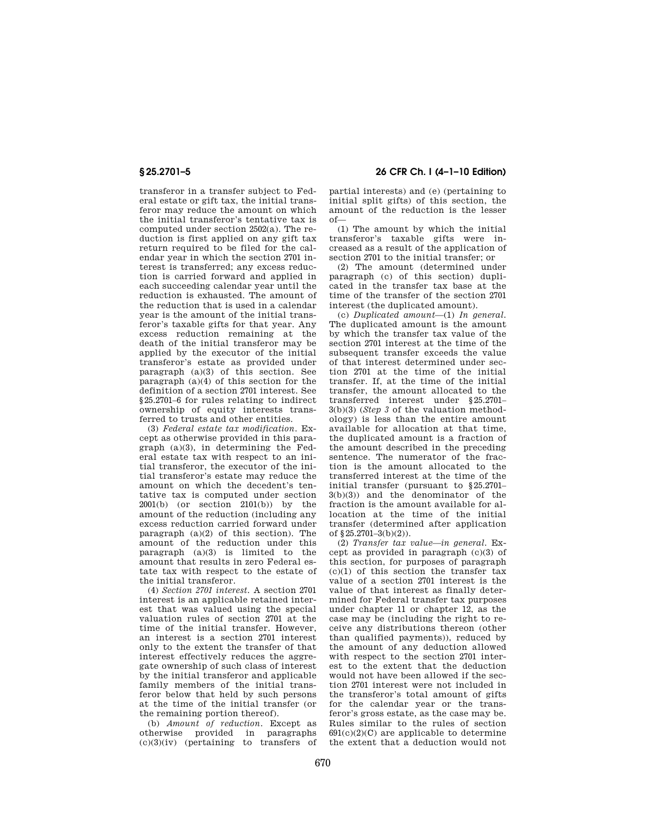transferor in a transfer subject to Federal estate or gift tax, the initial transferor may reduce the amount on which the initial transferor's tentative tax is computed under section 2502(a). The reduction is first applied on any gift tax return required to be filed for the calendar year in which the section 2701 interest is transferred; any excess reduction is carried forward and applied in each succeeding calendar year until the reduction is exhausted. The amount of the reduction that is used in a calendar year is the amount of the initial transferor's taxable gifts for that year. Any excess reduction remaining at the death of the initial transferor may be applied by the executor of the initial transferor's estate as provided under paragraph  $(a)(3)$  of this section. See paragraph (a)(4) of this section for the definition of a section 2701 interest. See §25.2701–6 for rules relating to indirect ownership of equity interests transferred to trusts and other entities.

(3) *Federal estate tax modification.* Except as otherwise provided in this paragraph (a)(3), in determining the Federal estate tax with respect to an initial transferor, the executor of the initial transferor's estate may reduce the amount on which the decedent's tentative tax is computed under section 2001(b) (or section 2101(b)) by the amount of the reduction (including any excess reduction carried forward under paragraph  $(a)(2)$  of this section). The amount of the reduction under this paragraph  $(a)(3)$  is limited to the amount that results in zero Federal estate tax with respect to the estate of the initial transferor.

(4) *Section 2701 interest.* A section 2701 interest is an applicable retained interest that was valued using the special valuation rules of section 2701 at the time of the initial transfer. However, an interest is a section 2701 interest only to the extent the transfer of that interest effectively reduces the aggregate ownership of such class of interest by the initial transferor and applicable family members of the initial transferor below that held by such persons at the time of the initial transfer (or the remaining portion thereof).

(b) *Amount of reduction.* Except as otherwise provided in paragraphs  $(c)(3)(iv)$  (pertaining to transfers of

**§ 25.2701–5 26 CFR Ch. I (4–1–10 Edition)** 

partial interests) and (e) (pertaining to initial split gifts) of this section, the amount of the reduction is the lesser of—

(1) The amount by which the initial transferor's taxable gifts were increased as a result of the application of section 2701 to the initial transfer; or

(2) The amount (determined under paragraph (c) of this section) duplicated in the transfer tax base at the time of the transfer of the section 2701 interest (the duplicated amount).

(c) *Duplicated amount*—(1) *In general.*  The duplicated amount is the amount by which the transfer tax value of the section 2701 interest at the time of the subsequent transfer exceeds the value of that interest determined under section 2701 at the time of the initial transfer. If, at the time of the initial transfer, the amount allocated to the transferred interest under §25.2701– 3(b)(3) (*Step 3* of the valuation methodology) is less than the entire amount available for allocation at that time, the duplicated amount is a fraction of the amount described in the preceding sentence. The numerator of the fraction is the amount allocated to the transferred interest at the time of the initial transfer (pursuant to §25.2701– 3(b)(3)) and the denominator of the fraction is the amount available for allocation at the time of the initial transfer (determined after application of  $$25.2701 - 3(b)(2)$ .

(2) *Transfer tax value—in general.* Except as provided in paragraph (c)(3) of this section, for purposes of paragraph  $(c)(1)$  of this section the transfer tax value of a section 2701 interest is the value of that interest as finally determined for Federal transfer tax purposes under chapter 11 or chapter 12, as the case may be (including the right to receive any distributions thereon (other than qualified payments)), reduced by the amount of any deduction allowed with respect to the section 2701 interest to the extent that the deduction would not have been allowed if the section 2701 interest were not included in the transferor's total amount of gifts for the calendar year or the transferor's gross estate, as the case may be. Rules similar to the rules of section  $691(c)(2)(C)$  are applicable to determine the extent that a deduction would not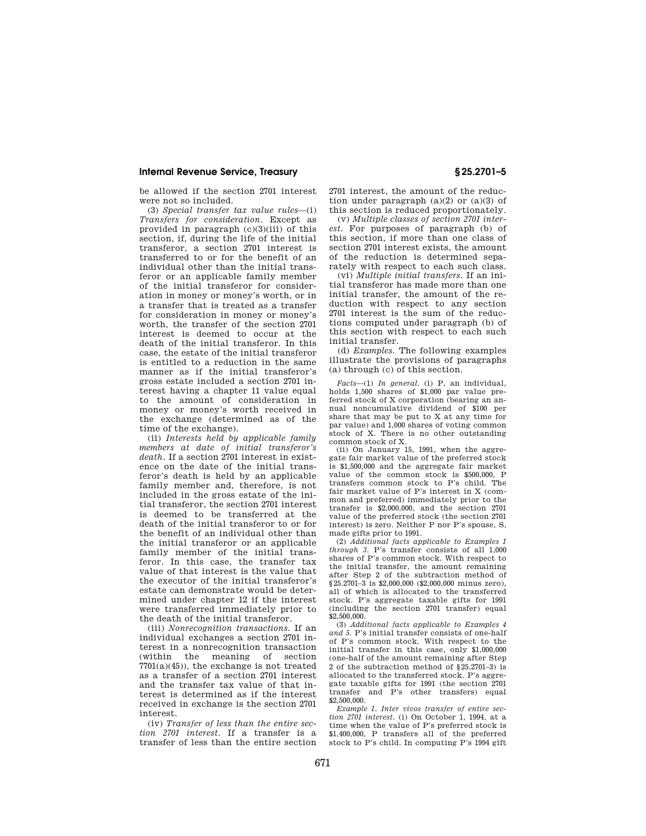be allowed if the section 2701 interest were not so included.

(3) *Special transfer tax value rules*—(i) *Transfers for consideration.* Except as provided in paragraph (c)(3)(iii) of this section, if, during the life of the initial transferor, a section 2701 interest is transferred to or for the benefit of an individual other than the initial transferor or an applicable family member of the initial transferor for consideration in money or money's worth, or in a transfer that is treated as a transfer for consideration in money or money's worth, the transfer of the section 2701 interest is deemed to occur at the death of the initial transferor. In this case, the estate of the initial transferor is entitled to a reduction in the same manner as if the initial transferor's gross estate included a section 2701 interest having a chapter 11 value equal to the amount of consideration in money or money's worth received in the exchange (determined as of the time of the exchange).

(ii) *Interests held by applicable family members at date of initial transferor's death.* If a section 2701 interest in existence on the date of the initial transferor's death is held by an applicable family member and, therefore, is not included in the gross estate of the initial transferor, the section 2701 interest is deemed to be transferred at the death of the initial transferor to or for the benefit of an individual other than the initial transferor or an applicable family member of the initial transferor. In this case, the transfer tax value of that interest is the value that the executor of the initial transferor's estate can demonstrate would be determined under chapter 12 if the interest were transferred immediately prior to the death of the initial transferor.

(iii) *Nonrecognition transactions.* If an individual exchanges a section 2701 interest in a nonrecognition transaction (within the meaning of section  $7701(a)(45)$ , the exchange is not treated as a transfer of a section 2701 interest and the transfer tax value of that interest is determined as if the interest received in exchange is the section 2701 interest.

(iv) *Transfer of less than the entire section 2701 interest.* If a transfer is a transfer of less than the entire section 2701 interest, the amount of the reduction under paragraph  $(a)(2)$  or  $(a)(3)$  of this section is reduced proportionately.

(v) *Multiple classes of section 2701 interest.* For purposes of paragraph (b) of this section, if more than one class of section 2701 interest exists, the amount of the reduction is determined separately with respect to each such class.

(vi) *Multiple initial transfers.* If an initial transferor has made more than one initial transfer, the amount of the reduction with respect to any section 2701 interest is the sum of the reductions computed under paragraph (b) of this section with respect to each such initial transfer.

(d) *Examples.* The following examples illustrate the provisions of paragraphs (a) through (c) of this section.

*Facts*—(1) *In general.* (i) P, an individual, holds 1,500 shares of \$1,000 par value preferred stock of X corporation (bearing an annual noncumulative dividend of \$100 per share that may be put to X at any time for par value) and 1,000 shares of voting common stock of X. There is no other outstanding common stock of X.

(ii) On January 15, 1991, when the aggregate fair market value of the preferred stock is \$1,500,000 and the aggregate fair market value of the common stock is \$500,000, P transfers common stock to P's child. The fair market value of P's interest in X (common and preferred) immediately prior to the transfer is \$2,000,000, and the section 2701 value of the preferred stock (the section 2701 interest) is zero. Neither P nor P's spouse, S, made gifts prior to 1991.

(2) *Additional facts applicable to Examples 1 through 3.* P's transfer consists of all 1,000 shares of P's common stock. With respect to the initial transfer, the amount remaining after Step 2 of the subtraction method of §25.2701–3 is \$2,000,000 (\$2,000,000 minus zero), all of which is allocated to the transferred stock. P's aggregate taxable gifts for 1991 (including the section 2701 transfer) equal \$2,500,000.

(3) *Additional facts applicable to Examples 4 and 5.* P's initial transfer consists of one-half of P's common stock. With respect to the initial transfer in this case, only \$1,000,000 (one-half of the amount remaining after Step 2 of the subtraction method of §25.2701–3) is allocated to the transferred stock. P's aggregate taxable gifts for 1991 (the section 2701 transfer and P's other transfers) equal \$2,500,000.

*Example 1. Inter vivos transfer of entire section 2701 interest.* (i) On October 1, 1994, at a time when the value of P's preferred stock is \$1,400,000, P transfers all of the preferred stock to P's child. In computing P's 1994 gift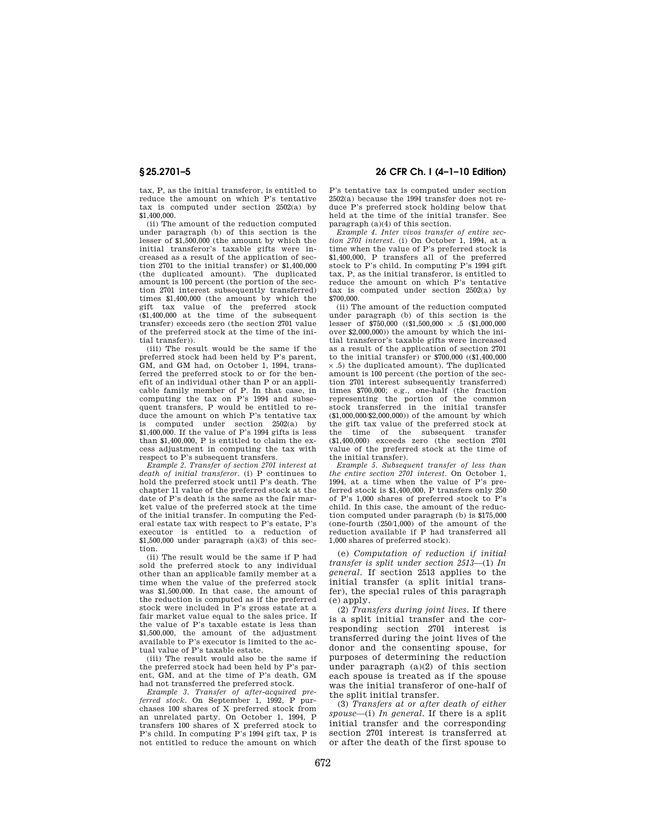tax, P, as the initial transferor, is entitled to reduce the amount on which P's tentative tax is computed under section 2502(a) by \$1,400,000.

(ii) The amount of the reduction computed under paragraph (b) of this section is the lesser of \$1,500,000 (the amount by which the initial transferor's taxable gifts were increased as a result of the application of section 2701 to the initial transfer) or \$1,400,000 (the duplicated amount). The duplicated amount is 100 percent (the portion of the section 2701 interest subsequently transferred) times \$1,400,000 (the amount by which the gift tax value of the preferred stock (\$1,400,000 at the time of the subsequent transfer) exceeds zero (the section 2701 value of the preferred stock at the time of the initial transfer)).

(iii) The result would be the same if the preferred stock had been held by P's parent, GM, and GM had, on October 1, 1994, transferred the preferred stock to or for the benefit of an individual other than P or an applicable family member of P. In that case, in computing the tax on P's 1994 and subsequent transfers, P would be entitled to reduce the amount on which P's tentative tax is computed under section 2502(a) by \$1,400,000. If the value of P's 1994 gifts is less than \$1,400,000, P is entitled to claim the excess adjustment in computing the tax with respect to P's subsequent transfers.

*Example 2. Transfer of section 2701 interest at death of initial transferor.* (i) P continues to hold the preferred stock until P's death. The chapter 11 value of the preferred stock at the date of P's death is the same as the fair market value of the preferred stock at the time of the initial transfer. In computing the Federal estate tax with respect to P's estate, P's executor is entitled to a reduction of  $$1,500,000$  under paragraph  $(a)(3)$  of this section.

(ii) The result would be the same if P had sold the preferred stock to any individual other than an applicable family member at a time when the value of the preferred stock was \$1,500,000. In that case, the amount of the reduction is computed as if the preferred stock were included in P's gross estate at a fair market value equal to the sales price. If the value of P's taxable estate is less than \$1,500,000, the amount of the adjustment available to P's executor is limited to the actual value of P's taxable estate.

(iii) The result would also be the same if the preferred stock had been held by P's parent, GM, and at the time of P's death, GM had not transferred the preferred stock.

*Example 3. Transfer of after-acquired preferred stock.* On September 1, 1992, P purchases 100 shares of X preferred stock from an unrelated party. On October 1, 1994, P transfers 100 shares of X preferred stock to P's child. In computing P's 1994 gift tax, P is not entitled to reduce the amount on which

# **§ 25.2701–5 26 CFR Ch. I (4–1–10 Edition)**

P's tentative tax is computed under section 2502(a) because the 1994 transfer does not reduce P's preferred stock holding below that held at the time of the initial transfer. See paragraph (a)(4) of this section.

*Example 4. Inter vivos transfer of entire section 2701 interest.* (i) On October 1, 1994, at a time when the value of P's preferred stock is \$1,400,000, P transfers all of the preferred stock to P's child. In computing P's 1994 gift tax, P, as the initial transferor, is entitled to reduce the amount on which P's tentative tax is computed under section 2502(a) by \$700,000.

(ii) The amount of the reduction computed under paragraph (b) of this section is the lesser of \$750,000  $((\$1,500,000 \times .5 \times .5)(\$1,000,000$ over \$2,000,000)) the amount by which the initial transferor's taxable gifts were increased as a result of the application of section 2701 to the initial transfer) or \$700,000 ((\$1,400,000 × .5) the duplicated amount). The duplicated amount is 100 percent (the portion of the section 2701 interest subsequently transferred) times \$700,000; e.g., one-half (the fraction representing the portion of the common stock transferred in the initial transfer (\$1,000,000/\$2,000,000)) of the amount by which the gift tax value of the preferred stock at the time of the subsequent transfer (\$1,400,000) exceeds zero (the section 2701 value of the preferred stock at the time of the initial transfer).

*Example 5. Subsequent transfer of less than the entire section 2701 interest.* On October 1, 1994, at a time when the value of P's preferred stock is \$1,400,000, P transfers only 250 of P's 1,000 shares of preferred stock to P's child. In this case, the amount of the reduction computed under paragraph (b) is \$175,000 (one-fourth (250/1,000) of the amount of the reduction available if P had transferred all 1,000 shares of preferred stock).

(e) *Computation of reduction if initial transfer is split under section 2513*—(1) *In general.* If section 2513 applies to the initial transfer (a split initial transfer), the special rules of this paragraph  $(e)$  apply.

(2) *Transfers during joint lives.* If there is a split initial transfer and the corresponding section 2701 interest is transferred during the joint lives of the donor and the consenting spouse, for purposes of determining the reduction under paragraph (a)(2) of this section each spouse is treated as if the spouse was the initial transferor of one-half of the split initial transfer.

(3) *Transfers at or after death of either spouse*—(i) *In general.* If there is a split initial transfer and the corresponding section 2701 interest is transferred at or after the death of the first spouse to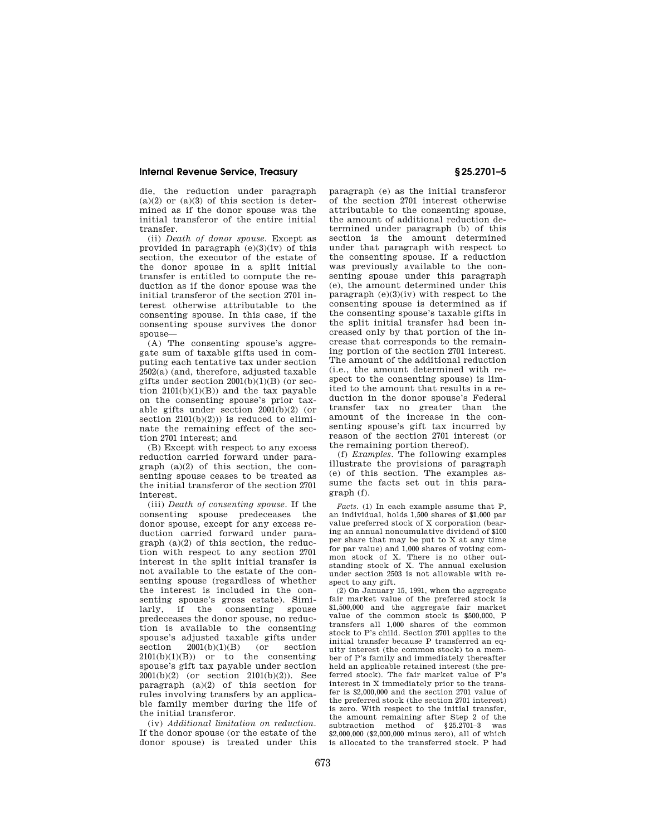die, the reduction under paragraph  $(a)(2)$  or  $(a)(3)$  of this section is determined as if the donor spouse was the initial transferor of the entire initial transfer.

(ii) *Death of donor spouse.* Except as provided in paragraph  $(e)(3)(iv)$  of this section, the executor of the estate of the donor spouse in a split initial transfer is entitled to compute the reduction as if the donor spouse was the initial transferor of the section 2701 interest otherwise attributable to the consenting spouse. In this case, if the consenting spouse survives the donor spouse—

(A) The consenting spouse's aggregate sum of taxable gifts used in computing each tentative tax under section 2502(a) (and, therefore, adjusted taxable gifts under section  $2001(b)(1)(B)$  (or section  $2101(b)(1)(B)$  and the tax payable on the consenting spouse's prior taxable gifts under section 2001(b)(2) (or section  $2101(b)(2))$ ) is reduced to eliminate the remaining effect of the section 2701 interest; and

(B) Except with respect to any excess reduction carried forward under paragraph (a)(2) of this section, the consenting spouse ceases to be treated as the initial transferor of the section 2701 interest.

(iii) *Death of consenting spouse.* If the consenting spouse predeceases the donor spouse, except for any excess reduction carried forward under paragraph (a)(2) of this section, the reduction with respect to any section 2701 interest in the split initial transfer is not available to the estate of the consenting spouse (regardless of whether the interest is included in the consenting spouse's gross estate). Similarly, if the consenting spouse predeceases the donor spouse, no reduction is available to the consenting spouse's adjusted taxable gifts under<br>section  $2001(b)(1)(B)$  (or section  $2001(b)(1)(B)$  $2101(b)(1)(B)$  or to the consenting spouse's gift tax payable under section 2001(b)(2) (or section 2101(b)(2)). See paragraph (a)(2) of this section for rules involving transfers by an applicable family member during the life of the initial transferor.

(iv) *Additional limitation on reduction.*  If the donor spouse (or the estate of the donor spouse) is treated under this

paragraph (e) as the initial transferor of the section 2701 interest otherwise attributable to the consenting spouse, the amount of additional reduction determined under paragraph (b) of this section is the amount determined under that paragraph with respect to the consenting spouse. If a reduction was previously available to the consenting spouse under this paragraph (e), the amount determined under this paragraph  $(e)(3)(iv)$  with respect to the consenting spouse is determined as if the consenting spouse's taxable gifts in the split initial transfer had been increased only by that portion of the increase that corresponds to the remaining portion of the section 2701 interest. The amount of the additional reduction (i.e., the amount determined with respect to the consenting spouse) is limited to the amount that results in a reduction in the donor spouse's Federal transfer tax no greater than the amount of the increase in the consenting spouse's gift tax incurred by reason of the section 2701 interest (or the remaining portion thereof).

(f) *Examples.* The following examples illustrate the provisions of paragraph (e) of this section. The examples assume the facts set out in this paragraph (f).

*Facts.* (1) In each example assume that P, an individual, holds 1,500 shares of \$1,000 par value preferred stock of X corporation (bearing an annual noncumulative dividend of \$100 per share that may be put to X at any time for par value) and 1,000 shares of voting common stock of X. There is no other outstanding stock of X. The annual exclusion under section 2503 is not allowable with respect to any gift.

(2) On January 15, 1991, when the aggregate fair market value of the preferred stock is \$1,500,000 and the aggregate fair market value of the common stock is \$500,000, P transfers all 1,000 shares of the common stock to P's child. Section 2701 applies to the initial transfer because P transferred an equity interest (the common stock) to a member of P's family and immediately thereafter held an applicable retained interest (the preferred stock). The fair market value of P's interest in X immediately prior to the transfer is \$2,000,000 and the section 2701 value of the preferred stock (the section 2701 interest) is zero. With respect to the initial transfer, the amount remaining after Step 2 of the subtraction method of §25.2701-3 was \$2,000,000 (\$2,000,000 minus zero), all of which is allocated to the transferred stock. P had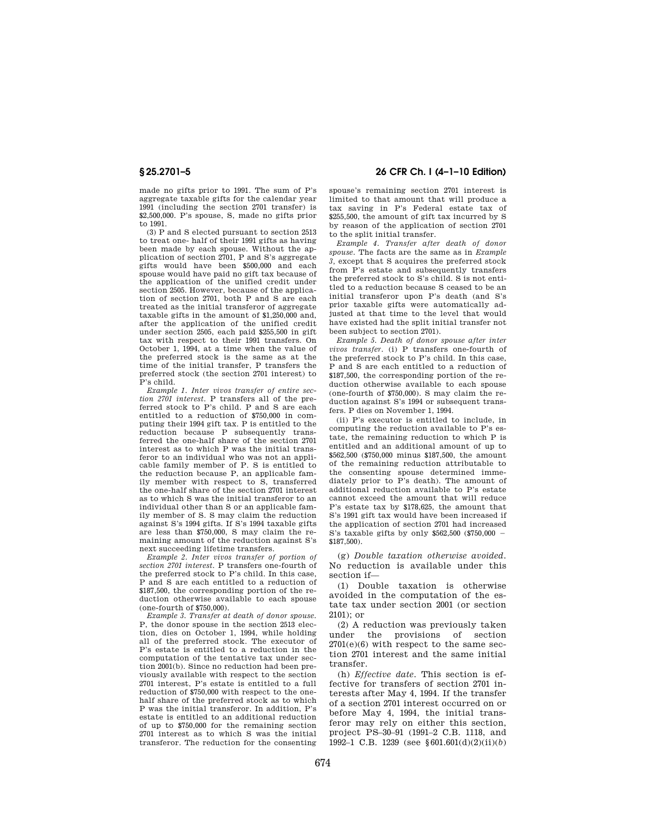made no gifts prior to 1991. The sum of P's aggregate taxable gifts for the calendar year 1991 (including the section 2701 transfer) is \$2,500,000. P's spouse, S, made no gifts prior to 1991.

(3) P and S elected pursuant to section 2513 to treat one- half of their 1991 gifts as having been made by each spouse. Without the application of section 2701, P and S's aggregate gifts would have been \$500,000 and each spouse would have paid no gift tax because of the application of the unified credit under section 2505. However, because of the application of section 2701, both P and S are each treated as the initial transferor of aggregate taxable gifts in the amount of \$1,250,000 and, after the application of the unified credit under section 2505, each paid \$255,500 in gift tax with respect to their 1991 transfers. On October 1, 1994, at a time when the value of the preferred stock is the same as at the time of the initial transfer, P transfers the preferred stock (the section 2701 interest) to P's child.

*Example 1. Inter vivos transfer of entire section 2701 interest.* P transfers all of the preferred stock to P's child. P and S are each entitled to a reduction of \$750,000 in computing their 1994 gift tax. P is entitled to the reduction because P subsequently transferred the one-half share of the section 2701 interest as to which P was the initial transferor to an individual who was not an applicable family member of P. S is entitled to the reduction because P, an applicable family member with respect to S, transferred the one-half share of the section 2701 interest as to which S was the initial transferor to an individual other than S or an applicable family member of S. S may claim the reduction against S's 1994 gifts. If S's 1994 taxable gifts are less than \$750,000, S may claim the remaining amount of the reduction against S's next succeeding lifetime transfers.

*Example 2. Inter vivos transfer of portion of section 2701 interest.* P transfers one-fourth of the preferred stock to P's child. In this case, P and S are each entitled to a reduction of \$187,500, the corresponding portion of the reduction otherwise available to each spouse (one-fourth of \$750,000).

*Example 3. Transfer at death of donor spouse.*  P, the donor spouse in the section 2513 election, dies on October 1, 1994, while holding all of the preferred stock. The executor of P's estate is entitled to a reduction in the computation of the tentative tax under section 2001(b). Since no reduction had been previously available with respect to the section 2701 interest, P's estate is entitled to a full reduction of \$750,000 with respect to the onehalf share of the preferred stock as to which P was the initial transferor. In addition, P's estate is entitled to an additional reduction of up to \$750,000 for the remaining section 2701 interest as to which S was the initial transferor. The reduction for the consenting

## **§ 25.2701–5 26 CFR Ch. I (4–1–10 Edition)**

spouse's remaining section 2701 interest is limited to that amount that will produce a tax saving in P's Federal estate tax of \$255,500, the amount of gift tax incurred by S by reason of the application of section 2701 to the split initial transfer.

*Example 4. Transfer after death of donor spouse.* The facts are the same as in *Example 3,* except that S acquires the preferred stock from P's estate and subsequently transfers the preferred stock to S's child. S is not entitled to a reduction because S ceased to be an initial transferor upon P's death (and S's prior taxable gifts were automatically adjusted at that time to the level that would have existed had the split initial transfer not been subject to section 2701).

*Example 5. Death of donor spouse after inter vivos transfer.* (i) P transfers one-fourth of the preferred stock to P's child. In this case, P and S are each entitled to a reduction of \$187,500, the corresponding portion of the reduction otherwise available to each spouse (one-fourth of \$750,000). S may claim the reduction against S's 1994 or subsequent transfers. P dies on November 1, 1994.

(ii) P's executor is entitled to include, in computing the reduction available to P's estate, the remaining reduction to which P is entitled and an additional amount of up to \$562,500 (\$750,000 minus \$187,500, the amount of the remaining reduction attributable to the consenting spouse determined immediately prior to P's death). The amount of additional reduction available to P's estate cannot exceed the amount that will reduce P's estate tax by \$178,625, the amount that S's 1991 gift tax would have been increased if the application of section 2701 had increased S's taxable gifts by only  $$562,500$  (\$750,000  $-$ \$187,500).

(g) *Double taxation otherwise avoided.*  No reduction is available under this section if—

(1) Double taxation is otherwise avoided in the computation of the estate tax under section 2001 (or section 2101); or

(2) A reduction was previously taken under the provisions of section 2701(e)(6) with respect to the same section 2701 interest and the same initial transfer.

(h) *Effective date.* This section is effective for transfers of section 2701 interests after May 4, 1994. If the transfer of a section 2701 interest occurred on or before May 4, 1994, the initial transferor may rely on either this section, project PS–30–91 (1991–2 C.B. 1118, and 1992–1 C.B. 1239 (see §601.601(d)(2)(ii)(*b*)